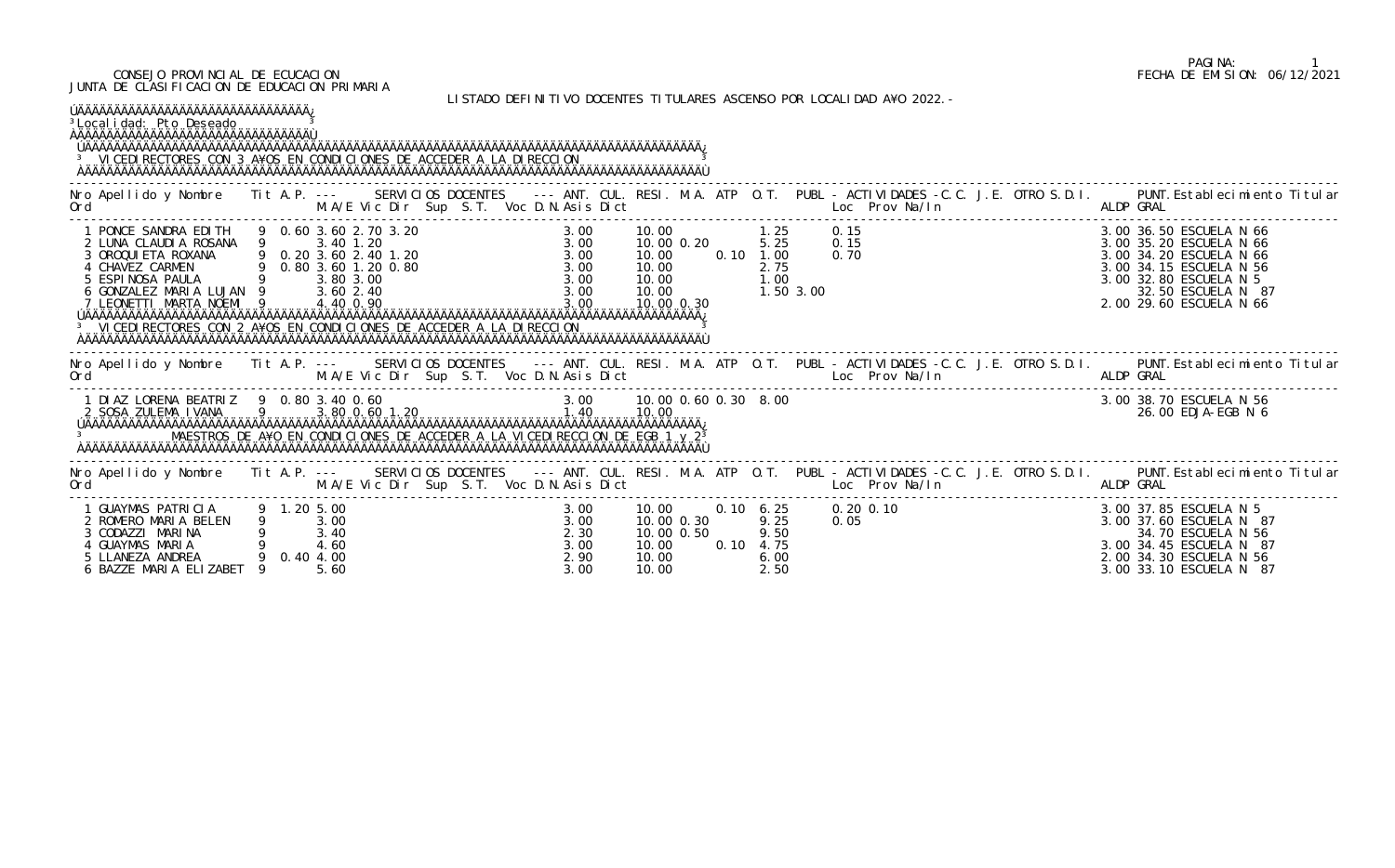#### CONSEJO PROVINCIAL DE ECUCACION FECHA DE EMISION: 06/12/2021 JUNTA DE CLASIFICACION DE EDUCACION PRIMARIA

### LISTADO DEFINITIVO DOCENTES TITULARES ASCENSO POR LOCALIDAD A¥O 2022.-

| ÚÄÄÄÄÄÄÄÄÄÄÄÄÄÄÄÄÄÄÄÄÄÄÄÄÄÄÄÄÄÄÄÄÄÄÄ<br><sup>3</sup> Local i dad: Pto Deseado<br><sup>3</sup> VI CEDI RECTORES CON 3 A¥OS EN CONDICIONES DE ACCEDER A LA DI RECCION                                                                                                                                                                                                |             |                                           |                                                 |                                              |                                                              |               |                           |                                      |              |                             |  |           |                                                                                                                                                                                                                                   |
|--------------------------------------------------------------------------------------------------------------------------------------------------------------------------------------------------------------------------------------------------------------------------------------------------------------------------------------------------------------------|-------------|-------------------------------------------|-------------------------------------------------|----------------------------------------------|--------------------------------------------------------------|---------------|---------------------------|--------------------------------------|--------------|-----------------------------|--|-----------|-----------------------------------------------------------------------------------------------------------------------------------------------------------------------------------------------------------------------------------|
| . The Second M.A/E Vic Dir Sup S.T. Voc D.N.Asis Dict [1] Loc Prov Na/In [1] ALDP GRAL<br>Ord                                                                                                                                                                                                                                                                      |             |                                           |                                                 |                                              |                                                              |               |                           |                                      |              |                             |  |           | Nro Apellido y Nombre Tit A.P. --- SERVICIOS DOCENTES --- ANT. CUL. RESI. M.A. ATP O.T. PUBL - ACTIVIDADES -C.C. J.E. OTRO S.D.I. PUNT. Establecimiento Titular                                                                   |
| 1 PONCE SANDRA EDITH 9 0.60 3.60 2.70 3.20<br>2 LUNA CLAUDIA ROSANA 9 3.40 1.20<br>3 OROQUIETA ROXANA 9 0.20 3.60 2.40 1.20<br>4 CHAVEZ CARMEN 9 0.80 3.60 1.20 0.80<br>5 ESPINOSA PAULA 9 3.80 3.00<br>6 GONZALEZ MARIA LUJAN 9 3.60 2.<br>7 LEONETTI MARTA NOEMI 9 4.40 0.90<br><sup>3</sup> VICEDI RECTORES CON 2 A¥OS EN CONDICIONES DE ACCEDER A LA DIRECCION |             |                                           |                                                 |                                              | 10.00<br>10.00 0.20<br>10.00<br>10.00<br>10.00 0.30          | $0.10$ $1.00$ |                           | $1.25$ 0.15<br>5.25<br>2.75          | 0.15<br>0.70 | ). 15<br>). 15<br>). 70<br> |  |           | 3.00 36.50 ESCUELA N 66<br>3.00 35.20 ESCUELA N 66<br>3.00 34.20 ESCUELA N 66<br>3.00 34.15 ESCUELA N 56<br>3.00 32.80 ESCUELA N 5<br>32.50 ESCUELA N 87<br>2.00 29.60 ESCUELA N 66                                               |
|                                                                                                                                                                                                                                                                                                                                                                    |             |                                           |                                                 |                                              |                                                              |               |                           |                                      |              |                             |  |           | Nro Apellido y Nombre Iit A.P. --- SERVICIOS DOCENTES --- ANT. CUL. RESI. M.A. ATP O.T. PUBL -ACTIVIDADES -C.C. J.E. OTRO S.D.I. PUNT.Establecimiento Titular<br>Ord M.A/E Vic Dir Sup S.T. Voc D.N.Asis Dict Loc Prov Na/In ALDP |
| 1 DIAZ LORENA BEATRIZ 9 0.80 3.40 0.60                                                                                                                                                                                                                                                                                                                             |             |                                           | 0 3.40 0.60<br>3.80 0.60 1.20<br>3.80 0.60 1.20 |                                              |                                                              |               |                           |                                      |              |                             |  |           | 3.00 38.70 ESCUELA N 56<br>26.00 EDJA-EGB N 6                                                                                                                                                                                     |
| Ord                                                                                                                                                                                                                                                                                                                                                                |             |                                           | M.A/E Vic Dir Sup S.T. Voc D.N.Asis Dict        |                                              |                                                              |               |                           |                                      |              | Loc Prov Na/In              |  | ALDP GRAL | Nro Apellido y Nombre Tit A.P. --- SERVICIOS DOCENTES --- ANT. CUL. RESI. M.A. ATP O.T. PUBL - ACTIVIDADES -C.C. J.E. OTRO S.D.I. PUNT. Establecimiento Titular                                                                   |
| 1 GUAYMAS PATRICIA<br>2 ROMERO MARIA BELEN<br>3 CODAZZI MARINA<br>4 GUAYMAS MARIA<br>5 LLANEZA ANDREA<br>6 BAZZE MARIA ELIZABET                                                                                                                                                                                                                                    | 9 1.20 5.00 | 3.00<br>3.40<br>4.60<br>0.40 4.00<br>5.60 |                                                 | 3.00<br>3.00<br>2.30<br>3.00<br>2.90<br>3.00 | 10.00<br>10.00 0.30<br>10.00 0.50<br>10.00<br>10.00<br>10.00 |               | $0.10 \quad 6.25$<br>0.10 | 9.25<br>9.50<br>4.75<br>6.00<br>2.50 | 0.05         | $0.20 \, 0.10$              |  |           | 3.00 37.85 ESCUELA N 5<br>3.00 37.60 ESCUELA N 87<br>34.70 ESCUELA N 56<br>3.00 34.45 ESCUELA N 87<br>2.00 34.30 ESCUELA N 56<br>3.00 33.10 ESCUELA N 87                                                                          |

## PAGINA: 1<br>FECHA DE EMISION: 06/12/2021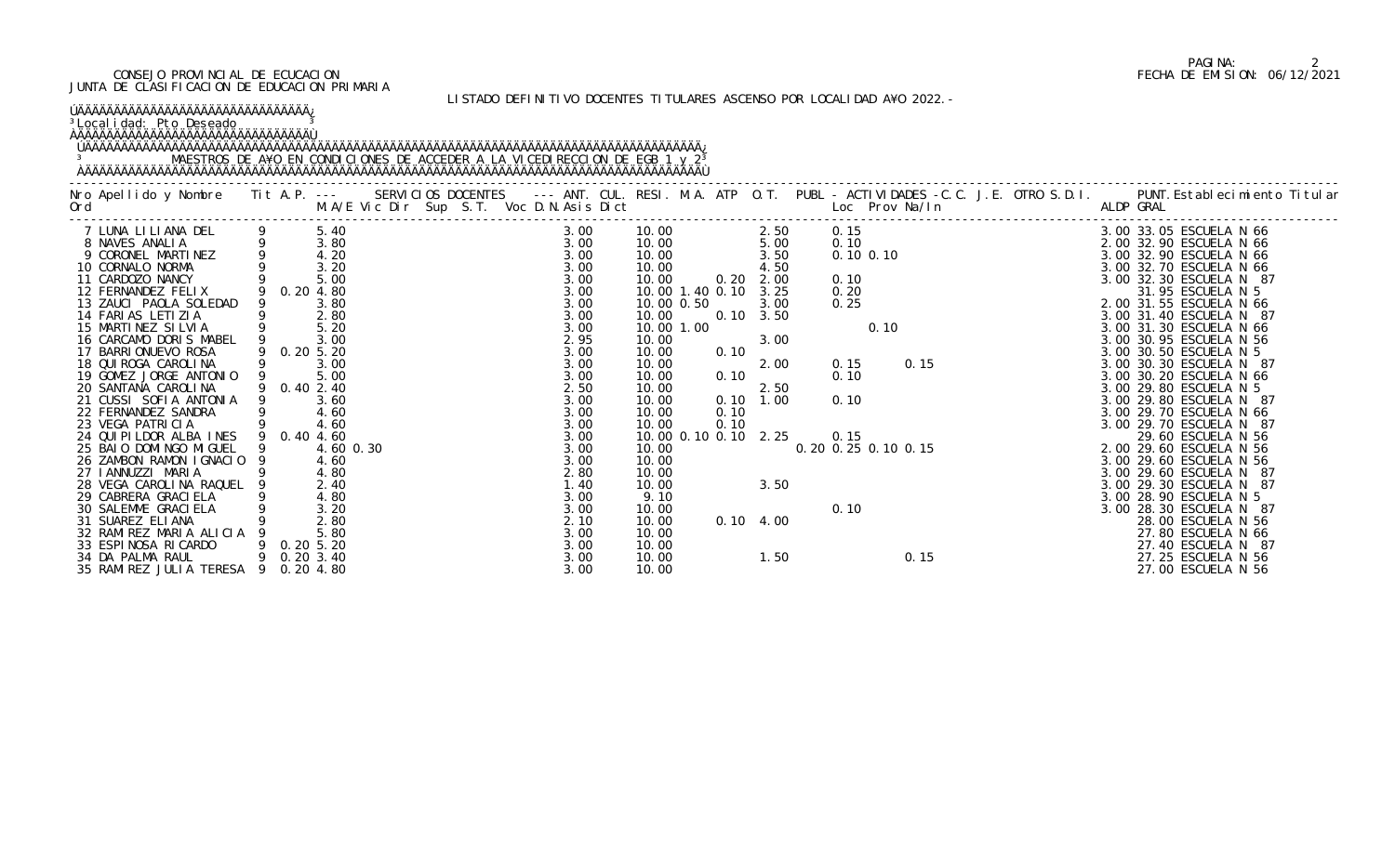#### CONSEJO PROVINCIAL DE ECUCACION FECHA DE EMISION: 06/12/2021 JUNTA DE CLASIFICACION DE EDUCACION PRIMARIA

### LISTADO DEFINITIVO DOCENTES TITULARES ASCENSO POR LOCALIDAD A¥O 2022.-

| ŬÄÄÄÄÄÄÄÄÄÄÄÄÄÄÄÄÄÄÄÄÄÄÄÄÄÄÄÄÄÄÄÄÄÄÄÄ<br><sup>3</sup> Local i dad: Pto Deseado                                                                                                                                                                                                                                                                                                                                                                                                                                                                                                                                                                                                                                        |   |                                                                                                                                                                                          |  |                                                                                                                                                                                                                  |                                                                                                                                                                                                                               |                                      |                                                                                                                                                                                                 |                                                                 |      |      |                                                          |                                                                                                                                                                                                                                                                                                                                                                                                                                                                                                                                                                                                                                                                                                    |  |
|-----------------------------------------------------------------------------------------------------------------------------------------------------------------------------------------------------------------------------------------------------------------------------------------------------------------------------------------------------------------------------------------------------------------------------------------------------------------------------------------------------------------------------------------------------------------------------------------------------------------------------------------------------------------------------------------------------------------------|---|------------------------------------------------------------------------------------------------------------------------------------------------------------------------------------------|--|------------------------------------------------------------------------------------------------------------------------------------------------------------------------------------------------------------------|-------------------------------------------------------------------------------------------------------------------------------------------------------------------------------------------------------------------------------|--------------------------------------|-------------------------------------------------------------------------------------------------------------------------------------------------------------------------------------------------|-----------------------------------------------------------------|------|------|----------------------------------------------------------|----------------------------------------------------------------------------------------------------------------------------------------------------------------------------------------------------------------------------------------------------------------------------------------------------------------------------------------------------------------------------------------------------------------------------------------------------------------------------------------------------------------------------------------------------------------------------------------------------------------------------------------------------------------------------------------------------|--|
|                                                                                                                                                                                                                                                                                                                                                                                                                                                                                                                                                                                                                                                                                                                       |   |                                                                                                                                                                                          |  |                                                                                                                                                                                                                  |                                                                                                                                                                                                                               |                                      |                                                                                                                                                                                                 |                                                                 |      |      |                                                          | Nro Apellido y Nombre Tit A.P. --- SERVICIOS DOCENTES --- ANT. CUL. RESI. M.A. ATP O.T. PUBL - ACTIVIDADES -C.C. J.E. OTRO S.D.I. PUNT.Establecimiento Titular<br>Ord M.A/E Vic Dir Sup S.T. Voc D.N.Asis Dict Loc Prov Na/In ALD                                                                                                                                                                                                                                                                                                                                                                                                                                                                  |  |
| 7 LUNA LILIANA DEL 9 5.40<br>8 NAVES ANALIA 9 3.80<br>9 CORONEL MARTINEZ 9 4.20<br>10 CORNALO NORMA 9 3.20<br>11 CARDOZO NANCY 9 5.00<br>12 FERNANDEZ FELIX 9 0.20 4.80<br>12 FERNANDEZ FELIX<br>13 ZAUCI PAOLA SOLEDAD<br>14 FARIAS LETIZIA<br>15 MARTINEZ SILVIA<br>16 CARCAMO DORIS MABEL<br>17 BARRI ONUEVO ROSA<br>18 QUI ROGA CAROLINA<br>19 GOMEZ JORGE ANTONIO<br>20 SANTANA CAROLINA<br>21 CUSSI SOFIA ANTONIA<br>22 FERNANDEZ SANDRA<br>23 VEGA PATRICIA<br>24 QUI PI LDOR ALBA INES 9 0.40 4.60<br>25 BAIO DOMINGO MIGUEL 9<br>26 ZAMBON RAMON IGNACIO 9<br>27 I ANNUZZI MARIA<br>28 VEGA CAROLINA RAQUEL 9<br>29 CABRERA GRACI ELA<br>30 SALEMME GRACI ELA<br>31 SUAREZ ELIANA<br>32 RAMIREZ MARIA ALICIA |   | 9 0.20 4.80<br>3.80<br>$2.80$<br>5.20<br>3.00<br>9 0.20 5.20<br>3.00<br>5.00<br>9 0.40 2.40<br>3.60<br>4.60<br>4.60<br>4.60 0.30<br>4.60<br>4.80<br>2.40<br>4.80<br>3.20<br>2.80<br>5.80 |  | 3.00<br>$3.00$<br>$3.00$<br>3.00<br>3.00<br>3.00<br>3.00<br>3.00<br>3.00<br>2.95<br>3.00<br>3.00<br>3.00<br>2.50<br>3.00<br>3.00<br>3.00<br>3.00<br>3.00<br>3.00<br>2.80<br>1.40<br>3.00<br>3.00<br>2.10<br>3.00 | 10.00<br>10.00<br>10.00<br>10.00<br>10.00<br>10.00 0.50<br>10.00<br>10.00 1.00<br>10.00<br>10.00<br>10.00<br>10.00<br>10.00<br>10.00<br>10.00<br>10.00<br>10.00<br>10.00<br>10.00<br>10.00<br>9.10<br>10.00<br>10.00<br>10.00 | 0.20<br>0.10<br>0.10<br>0.10<br>0.10 | 2.50<br>2. 50<br>5. 00<br>3.50<br>4.50<br>2.00<br>10.00 1.40 0.10 3.25<br>3.00<br>$0.10 \quad 3.50$<br>3.00<br>2.00<br>2.50<br>$0.10$ 1.00<br>10.00 0.10 0.10 2.25<br>3.50<br>$0.10 \quad 4.00$ | 0.15<br>0.10<br>0.10<br>0.15<br>0. 20 0. 25 0. 10 0. 15<br>0.10 | 0.10 | 0.15 | 0. 15<br>0. 10<br>0. 10 0. 10<br>0. 20<br>0. 20<br>0. 25 | 3.00 33.05 ESCUELA N 66<br>2.00 32.90 ESCUELA N 66<br>3.00 32.90 ESCUELA N 66<br>3.00 32.70 ESCUELA N 66<br>3.00 32.30 ESCUELA N 87<br>31.95 ESCUELA N 5<br>2.00 31.55 ESCUELA N 66<br>3.00 31.40 ESCUELA N 87<br>3.00 31.30 ESCUELA N 66<br>3.00 30.95 ESCUELA N 56<br>3.00 30.50 ESCUELA N 5<br>3.00 30.30 ESCUELA N 87<br>3.00 30.20 ESCUELA N 66<br>3.00 29.80 ESCUELA N 5<br>3.00 29.80 ESCUELA N 87<br>3.00 29.70 ESCUELA N 66<br>3.00 29.70 ESCUELA N 87<br>29.60 ESCUELA N 56<br>2.00 29.60 ESCUELA N 56<br>3.00 29.60 ESCUELA N 56<br>3.00 29.60 ESCUELA N 87<br>3.00 29.30 ESCUELA N 87<br>3.00 28.90 ESCUELA N 5<br>3.00 28.30 ESCUELA N 87<br>28.00 ESCUELA N 56<br>27.80 ESCUELA N 66 |  |
| 33 ESPINOSA RICARDO<br>34 DA PALMA RAUL<br>35 RAMI REZ JULI A TERESA                                                                                                                                                                                                                                                                                                                                                                                                                                                                                                                                                                                                                                                  | 9 | $0.20\,5.20$<br>9 0.20 3.40<br>0.20 4.80                                                                                                                                                 |  | 3.00<br>3.00<br>3.00                                                                                                                                                                                             | 10.00<br>10.00<br>10.00                                                                                                                                                                                                       |                                      | 1.50                                                                                                                                                                                            |                                                                 |      | 0.15 |                                                          | 27.40 ESCUELA N 87<br>27.25 ESCUELA N 56<br>27.00 ESCUELA N 56                                                                                                                                                                                                                                                                                                                                                                                                                                                                                                                                                                                                                                     |  |

## PAGINA: 2<br>FECHA DE EMISION: 06/12/2021